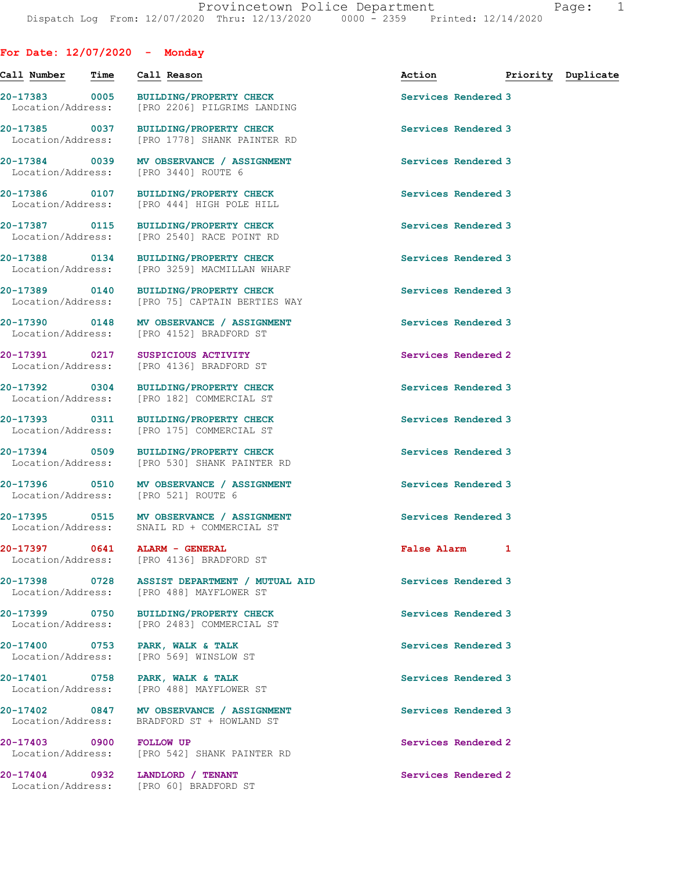## **For Date: 12/07/2020 - Monday**

| Call Number                        | Time | Call Reason                                                                             | Action <b>Priority</b> Duplicate |  |
|------------------------------------|------|-----------------------------------------------------------------------------------------|----------------------------------|--|
| 20-17383 0005<br>Location/Address: |      | BUILDING/PROPERTY CHECK<br>[PRO 2206] PILGRIMS LANDING                                  | Services Rendered 3              |  |
| 20-17385 0037<br>Location/Address: |      | <b>BUILDING/PROPERTY CHECK</b><br>[PRO 1778] SHANK PAINTER RD                           | Services Rendered 3              |  |
| 20-17384 0039<br>Location/Address: |      | MV OBSERVANCE / ASSIGNMENT<br>[PRO 3440] ROUTE 6                                        | Services Rendered 3              |  |
| 20-17386 0107<br>Location/Address: |      | <b>BUILDING/PROPERTY CHECK</b><br>[PRO 444] HIGH POLE HILL                              | Services Rendered 3              |  |
|                                    |      | 20-17387 0115 BUILDING/PROPERTY CHECK<br>Location/Address: [PRO 2540] RACE POINT RD     | Services Rendered 3              |  |
| Location/Address:                  |      | 20-17388 0134 BUILDING/PROPERTY CHECK<br>[PRO 3259] MACMILLAN WHARF                     | Services Rendered 3              |  |
|                                    |      | 20-17389 0140 BUILDING/PROPERTY CHECK<br>Location/Address: [PRO 75] CAPTAIN BERTIES WAY | Services Rendered 3              |  |
| 20-17390 0148<br>Location/Address: |      | MV OBSERVANCE / ASSIGNMENT<br>[PRO 4152] BRADFORD ST                                    | Services Rendered 3              |  |
| 20-17391 0217                      |      | SUSPICIOUS ACTIVITY<br>Location/Address: [PRO 4136] BRADFORD ST                         | Services Rendered 2              |  |
| 20-17392 0304                      |      | <b>BUILDING/PROPERTY CHECK</b><br>Location/Address: [PRO 182] COMMERCIAL ST             | Services Rendered 3              |  |
| 20-17393 0311<br>Location/Address: |      | BUILDING/PROPERTY CHECK<br>[PRO 175] COMMERCIAL ST                                      | Services Rendered 3              |  |
| 20-17394 0509                      |      | BUILDING/PROPERTY CHECK<br>Location/Address: [PRO 530] SHANK PAINTER RD                 | Services Rendered 3              |  |
| 20-17396 0510<br>Location/Address: |      | MV OBSERVANCE / ASSIGNMENT<br>[PRO 521] ROUTE 6                                         | Services Rendered 3              |  |
|                                    |      | 20-17395 0515 MV OBSERVANCE / ASSIGNMENT<br>Location/Address: SNAIL RD + COMMERCIAL ST  | Services Rendered 3              |  |
| 20-17397 0641                      |      | ALARM - GENERAL<br>Location/Address: [PRO 4136] BRADFORD ST                             | False Alarm 1                    |  |
| 20-17398                           | 0728 | ASSIST DEPARTMENT / MUTUAL AID<br>Location/Address: [PRO 488] MAYFLOWER ST              | Services Rendered 3              |  |
|                                    |      | 20-17399 0750 BUILDING/PROPERTY CHECK<br>Location/Address: [PRO 2483] COMMERCIAL ST     | Services Rendered 3              |  |
| 20-17400 0753                      |      | PARK, WALK & TALK<br>Location/Address: [PRO 569] WINSLOW ST                             | Services Rendered 3              |  |
|                                    |      | 20-17401 0758 PARK, WALK & TALK<br>Location/Address: [PRO 488] MAYFLOWER ST             | Services Rendered 3              |  |
| 20-17402 0847<br>Location/Address: |      | MV OBSERVANCE / ASSIGNMENT<br>BRADFORD ST + HOWLAND ST                                  | Services Rendered 3              |  |
| 20-17403 0900 FOLLOW UP            |      | Location/Address: [PRO 542] SHANK PAINTER RD                                            | Services Rendered 2              |  |
|                                    |      | 20-17404 0932 LANDLORD / TENANT<br>Location/Address: [PRO 60] BRADFORD ST               | Services Rendered 2              |  |
|                                    |      |                                                                                         |                                  |  |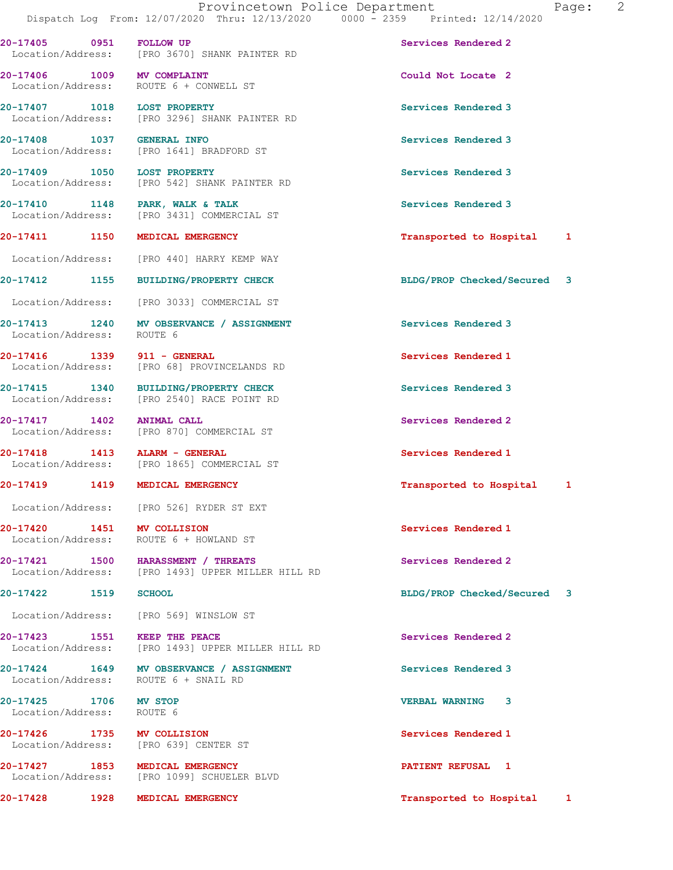**20-17405 0951 FOLLOW UP Services Rendered 2** 

Location/Address: [PRO 3670] SHANK PAINTER RD

**20-17406 1009 MV COMPLAINT Could Not Locate 2**  Location/Address: ROUTE 6 + CONWELL ST **20-17407 1018 LOST PROPERTY Services Rendered 3**  Location/Address: [PRO 3296] SHANK PAINTER RD **20-17408** 1037 GENERAL INFO 1057 Services Rendered 3<br>
Location/Address: [PRO 1641] BRADFORD ST [PRO 1641] BRADFORD ST **20-17409 1050 LOST PROPERTY 1050 LOST PROPERTY Services Rendered 3 Location/Address:** [PRO 542] SHANK PAINTER RD [PRO 542] SHANK PAINTER RD **20-17410 1148 PARK, WALK & TALK Services Rendered 3**  Location/Address: [PRO 3431] COMMERCIAL ST **20-17411 1150 MEDICAL EMERGENCY Transported to Hospital 1** Location/Address: [PRO 440] HARRY KEMP WAY **20-17412 1155 BUILDING/PROPERTY CHECK BLDG/PROP Checked/Secured 3** Location/Address: [PRO 3033] COMMERCIAL ST **20-17413 1240 MV OBSERVANCE / ASSIGNMENT Services Rendered 3**  Location/Address: **20-17416 1339 911 - GENERAL Services Rendered 1**  Location/Address: [PRO 68] PROVINCELANDS RD **20-17415 1340 BUILDING/PROPERTY CHECK Services Rendered 3**  Location/Address: [PRO 2540] RACE POINT RD **20-17417 1402 ANIMAL CALL Services Rendered 2**  Location/Address: [PRO 870] COMMERCIAL ST **20-17418 1413 ALARM - GENERAL 120-17418 Services Rendered 1**<br>
Location/Address: [PRO 1865] COMMERCIAL ST [PRO 1865] COMMERCIAL ST **20-17419 1419 MEDICAL EMERGENCY Transported to Hospital 1** Location/Address: [PRO 526] RYDER ST EXT **20-17420 1451 MV COLLISION Services Rendered 1**  Location/Address: ROUTE 6 + HOWLAND ST **20-17421 1500 HARASSMENT / THREATS Services Rendered 2 Services Rendered 2 Integration** (PRO 1493) UPPER MILLER HILL RD [PRO 1493] UPPER MILLER HILL RD **20-17422 1519 SCHOOL BLDG/PROP Checked/Secured 3** Location/Address: [PRO 569] WINSLOW ST **20-17423 1551 KEEP THE PEACE Services Rendered 2**  [PRO 1493] UPPER MILLER HILL RD **20-17424 1649 MV OBSERVANCE / ASSIGNMENT Services Rendered 3**  Location/Address: ROUTE 6 + SNAIL RD **20-17425 1706 MV STOP VERBAL WARNING 3**  Location/Address: ROUTE 6 **20-17426 1735 MV COLLISION Services Rendered 1**  Location/Address: [PRO 639] CENTER ST **20-17427 1853 MEDICAL EMERGENCY PATIENT REFUSAL 1**  Location/Address: [PRO 1099] SCHUELER BLVD **20-17428 1928 MEDICAL EMERGENCY Transported to Hospital 1**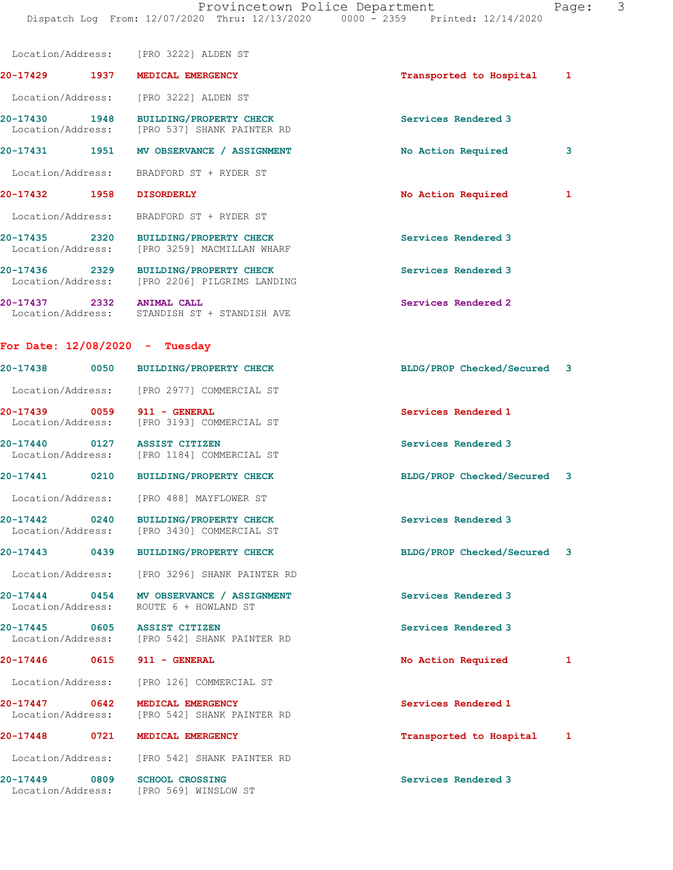|                                  |      | Location/Address: [PRO 3222] ALDEN ST                                                  |                             |   |
|----------------------------------|------|----------------------------------------------------------------------------------------|-----------------------------|---|
| 20-17429                         | 1937 | MEDICAL EMERGENCY                                                                      | Transported to Hospital     | 1 |
| Location/Address:                |      | [PRO 3222] ALDEN ST                                                                    |                             |   |
|                                  |      | 20-17430 1948 BUILDING/PROPERTY CHECK<br>Location/Address: [PRO 537] SHANK PAINTER RD  | Services Rendered 3         |   |
| 20-17431                         |      | 1951 MV OBSERVANCE / ASSIGNMENT                                                        | No Action Required          | 3 |
|                                  |      | Location/Address: BRADFORD ST + RYDER ST                                               |                             |   |
| 20-17432                         | 1958 | <b>DISORDERLY</b>                                                                      | No Action Required          | 1 |
|                                  |      | Location/Address: BRADFORD ST + RYDER ST                                               |                             |   |
|                                  |      | 20-17435 2320 BUILDING/PROPERTY CHECK<br>Location/Address: [PRO 3259] MACMILLAN WHARF  | Services Rendered 3         |   |
|                                  |      | 20-17436 2329 BUILDING/PROPERTY CHECK<br>Location/Address: [PRO 2206] PILGRIMS LANDING | Services Rendered 3         |   |
|                                  |      | 20-17437 2332 ANIMAL CALL<br>Location/Address: STANDISH ST + STANDISH AVE              | Services Rendered 2         |   |
| For Date: $12/08/2020 - Tuesday$ |      |                                                                                        |                             |   |
| 20-17438                         | 0050 | <b>BUILDING/PROPERTY CHECK</b>                                                         | BLDG/PROP Checked/Secured 3 |   |
|                                  |      | Location/Address: [PRO 2977] COMMERCIAL ST                                             |                             |   |
| 20-17439                         | 0059 | 911 - GENERAL<br>Location/Address: [PRO 3193] COMMERCIAL ST                            | Services Rendered 1         |   |
|                                  |      | 20-17440 0127 ASSIST CITIZEN<br>Location/Address: [PRO 1184] COMMERCIAL ST             | Services Rendered 3         |   |
|                                  |      | 20-17441 0210 BUILDING/PROPERTY CHECK                                                  | BLDG/PROP Checked/Secured 3 |   |
|                                  |      | Location/Address: [PRO 488] MAYFLOWER ST                                               |                             |   |
| $20 - 17442$                     | 0240 | <b>BUILDING/PROPERTY CHECK</b><br>Location/Address: [PRO 3430] COMMERCIAL ST           | Services Rendered 3         |   |
| 20-17443                         | 0439 | <b>BUILDING/PROPERTY CHECK</b>                                                         | BLDG/PROP Checked/Secured   | 3 |
| Location/Address:                |      | [PRO 3296] SHANK PAINTER RD                                                            |                             |   |
|                                  |      | 20-17444 0454 MV OBSERVANCE / ASSIGNMENT<br>Location/Address: ROUTE 6 + HOWLAND ST     | Services Rendered 3         |   |
|                                  |      | 20-17445 0605 ASSIST CITIZEN<br>Location/Address: [PRO 542] SHANK PAINTER RD           | Services Rendered 3         |   |
| 20-17446                         | 0615 | 911 - GENERAL                                                                          | No Action Required          | 1 |
|                                  |      | Location/Address: [PRO 126] COMMERCIAL ST                                              |                             |   |
| 20-17447 0642                    |      | MEDICAL EMERGENCY<br>Location/Address: [PRO 542] SHANK PAINTER RD                      | Services Rendered 1         |   |
| 20-17448                         | 0721 | MEDICAL EMERGENCY                                                                      | Transported to Hospital     | 1 |
| Location/Address:                |      | [PRO 542] SHANK PAINTER RD                                                             |                             |   |
| 20-17449<br>Location/Address:    | 0809 | <b>SCHOOL CROSSING</b><br>[PRO 569] WINSLOW ST                                         | Services Rendered 3         |   |
|                                  |      |                                                                                        |                             |   |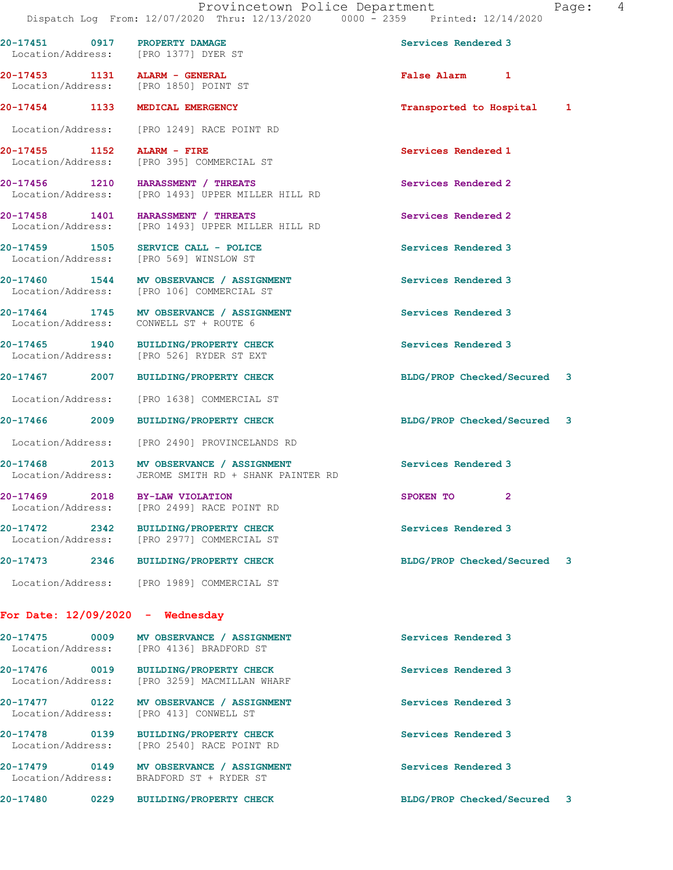**20-17451 0917 PROPERTY DAMAGE Services Rendered 3**  Location/Address: [PRO 1377] DYER ST **20-17453 1131 ALARM - GENERAL False Alarm 1**  Location/Address: [PRO 1850] POINT ST **20-17454 1133 MEDICAL EMERGENCY Transported to Hospital 1** Location/Address: [PRO 1249] RACE POINT RD **20-17455 1152 ALARM - FIRE 120-17455 1152 ALARM - FIRE 120-17455 120-17455 1152 I COMERCIAL ST** [PRO 395] COMMERCIAL ST **20-17456 1210 HARASSMENT / THREATS Services Rendered 2**  Location/Address: [PRO 1493] UPPER MILLER HILL RD **20-17458 1401 HARASSMENT / THREATS Services Rendered 2**  Location/Address: [PRO 1493] UPPER MILLER HILL RD 20-17459 1505 SERVICE CALL - POLICE **1999 120 Services** Rendered 3 Location/Address: [PRO 569] WINSLOW ST **20-17460 1544 MV OBSERVANCE / ASSIGNMENT Services Rendered 3**  Location/Address: [PRO 106] COMMERCIAL ST 20-17464 1745 MV OBSERVANCE / ASSIGNMENT **Services Rendered 3**  Location/Address: CONWELL ST + ROUTE 6 **20-17465 1940 BUILDING/PROPERTY CHECK Services Rendered 3**  Location/Address: [PRO 526] RYDER ST EXT **20-17467 2007 BUILDING/PROPERTY CHECK BLDG/PROP Checked/Secured 3** Location/Address: [PRO 1638] COMMERCIAL ST **20-17466 2009 BUILDING/PROPERTY CHECK BLDG/PROP Checked/Secured 3** Location/Address: [PRO 2490] PROVINCELANDS RD 20-17468 2013 MV OBSERVANCE / ASSIGNMENT Services Rendered 3 Location/Address: JEROME SMITH RD + SHANK PAINTER RD **20-17469 2018 BY-LAW VIOLATION SPOKEN TO 2**  Location/Address: [PRO 2499] RACE POINT RD **20-17472 2342 BUILDING/PROPERTY CHECK Services Rendered 3**  Location/Address: [PRO 2977] COMMERCIAL ST **20-17473 2346 BUILDING/PROPERTY CHECK BLDG/PROP Checked/Secured 3** Location/Address: [PRO 1989] COMMERCIAL ST **For Date: 12/09/2020 - Wednesday** 20-17475 0009 MV OBSERVANCE / ASSIGNMENT **Services Rendered 3 Internation** Services Rendered 3 Location/Address: **20-17476 0019 BUILDING/PROPERTY CHECK Services Rendered 3**  Location/Address: [PRO 3259] MACMILLAN WHARF **20-17477 0122 MV OBSERVANCE / ASSIGNMENT Services Rendered 3**  Location/Address: [PRO 413] CONWELL ST

**20-17478 0139 BUILDING/PROPERTY CHECK Services Rendered 3**  Location/Address: [PRO 2540] RACE POINT RD

**20-17479 0149 MV OBSERVANCE / ASSIGNMENT Services Rendered 3**  Location/Address: BRADFORD ST + RYDER ST

**20-17480 0229 BUILDING/PROPERTY CHECK BLDG/PROP Checked/Secured 3**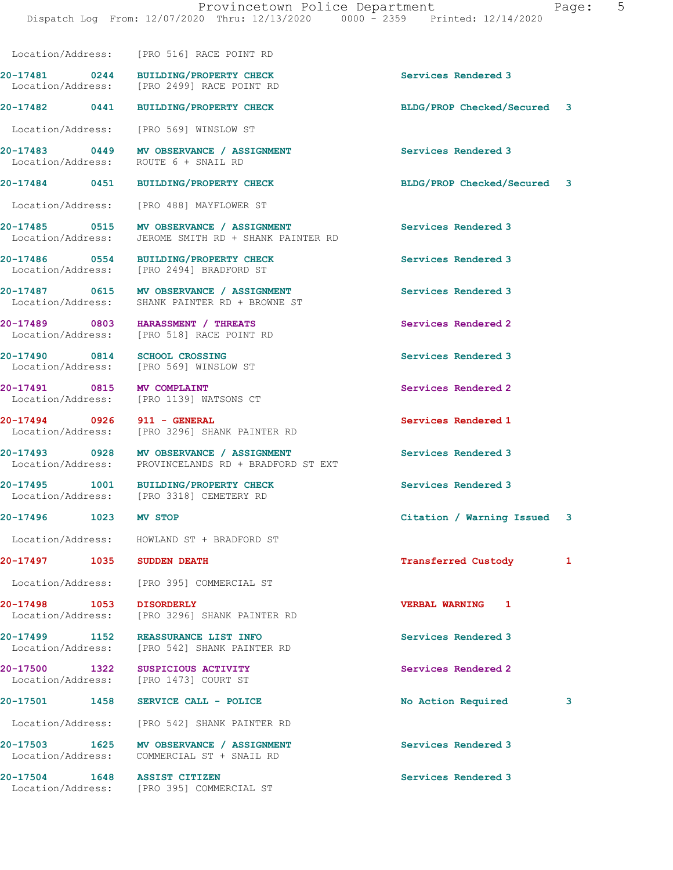**20-17482 0441 BUILDING/PROPERTY CHECK BLDG/PROP Checked/Secured 3**

**20-17481 0244 BUILDING/PROPERTY CHECK Services Rendered 3** 

Location/Address: [PRO 516] RACE POINT RD

Location/Address: [PRO 2499] RACE POINT RD

 Location/Address: [PRO 569] WINSLOW ST **20-17483 0449 MV OBSERVANCE / ASSIGNMENT Services Rendered 3**  Location/Address: **20-17484 0451 BUILDING/PROPERTY CHECK BLDG/PROP Checked/Secured 3** Location/Address: [PRO 488] MAYFLOWER ST **20-17485 0515 MV OBSERVANCE / ASSIGNMENT Services Rendered 3**  Location/Address: JEROME SMITH RD + SHANK PAINTER RD **20-17486 0554 BUILDING/PROPERTY CHECK Services Rendered 3**  Location/Address: [PRO 2494] BRADFORD ST **20-17487 0615 MV OBSERVANCE / ASSIGNMENT Services Rendered 3**  Location/Address: SHANK PAINTER RD + BROWNE ST **20-17489 0803 HARASSMENT / THREATS Services Rendered 2 Seculier Services Rendered 2 Services Rendered 2** [PRO 518] RACE POINT RD **20-17490 0814 SCHOOL CROSSING Services Rendered 3**  Location/Address: [PRO 569] WINSLOW ST **20-17491 0815 MV COMPLAINT Services Rendered 2**  Location/Address: [PRO 1139] WATSONS CT **20-17494 0926 911 - GENERAL Services Rendered 1**  Location/Address: [PRO 3296] SHANK PAINTER RD 20-17493 0928 MV OBSERVANCE / ASSIGNMENT **Services Rendered 3**  Location/Address: PROVINCELANDS RD + BRADFORD ST EXT **20-17495 1001 BUILDING/PROPERTY CHECK Services Rendered 3**  Location/Address: [PRO 3318] CEMETERY RD **20-17496 1023 MV STOP Citation / Warning Issued 3** Location/Address: HOWLAND ST + BRADFORD ST **20-17497 1035 SUDDEN DEATH Transferred Custody 1** Location/Address: [PRO 395] COMMERCIAL ST **20-17498 1053 DISORDERLY VERBAL WARNING 1**  Location/Address: [PRO 3296] SHANK PAINTER RD **20-17499 1152 REASSURANCE LIST INFO Services Rendered 3**  Location/Address: [PRO 542] SHANK PAINTER RD **20-17500 1322 SUSPICIOUS ACTIVITY Services Rendered 2**  Location/Address: [PRO 1473] COURT ST **20-17501 1458 SERVICE CALL - POLICE No Action Required 3** Location/Address: [PRO 542] SHANK PAINTER RD **20-17503 1625 MV OBSERVANCE / ASSIGNMENT Services Rendered 3**  Location/Address: COMMERCIAL ST + SNAIL RD **20-17504 1648 ASSIST CITIZEN Services Rendered 3**  Location/Address: [PRO 395] COMMERCIAL ST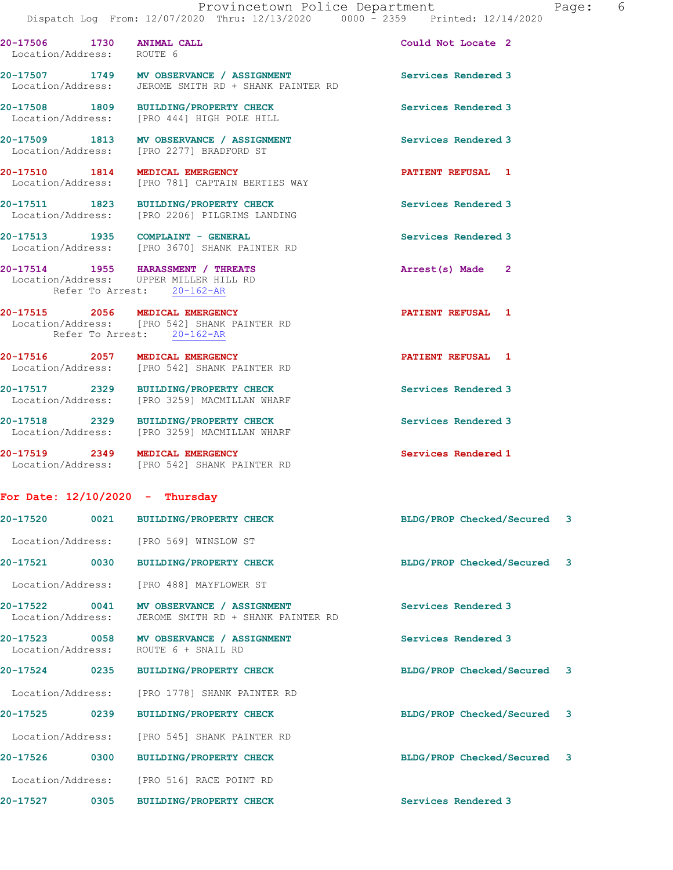| 20-17506 1730<br>Location/Address: | <b>ANIMAL CALL</b><br>ROUTE 6                                                                              | Could Not Locate 2          |    |
|------------------------------------|------------------------------------------------------------------------------------------------------------|-----------------------------|----|
| Location/Address:                  | 20-17507 1749 MV OBSERVANCE / ASSIGNMENT<br>JEROME SMITH RD + SHANK PAINTER RD                             | Services Rendered 3         |    |
| 20-17508 1809<br>Location/Address: | <b>BUILDING/PROPERTY CHECK</b><br>[PRO 444] HIGH POLE HILL                                                 | Services Rendered 3         |    |
| 20-17509 1813                      | MV OBSERVANCE / ASSIGNMENT<br>Location/Address: [PRO 2277] BRADFORD ST                                     | Services Rendered 3         |    |
| 20-17510 1814<br>Location/Address: | MEDICAL EMERGENCY<br>[PRO 781] CAPTAIN BERTIES WAY                                                         | PATIENT REFUSAL 1           |    |
| 20-17511 1823                      | <b>BUILDING/PROPERTY CHECK</b><br>Location/Address: [PRO 2206] PILGRIMS LANDING                            | Services Rendered 3         |    |
|                                    | 20-17513 1935 COMPLAINT - GENERAL<br>Location/Address: [PRO 3670] SHANK PAINTER RD                         | Services Rendered 3         |    |
|                                    | 20-17514 1955 HARASSMENT / THREATS<br>Location/Address: UPPER MILLER HILL RD<br>Refer To Arrest: 20-162-AR | Arrest(s) Made 2            |    |
| 20-17515 2056 MEDICAL EMERGENCY    | Location/Address: [PRO 542] SHANK PAINTER RD<br>Refer To Arrest: 20-162-AR                                 | PATIENT REFUSAL 1           |    |
| 20-17516 2057                      | MEDICAL EMERGENCY<br>Location/Address: [PRO 542] SHANK PAINTER RD                                          | PATIENT REFUSAL 1           |    |
| 20-17517 2329                      | <b>BUILDING/PROPERTY CHECK</b><br>Location/Address: [PRO 3259] MACMILLAN WHARF                             | Services Rendered 3         |    |
| 20-17518 2329                      | <b>BUILDING/PROPERTY CHECK</b><br>Location/Address: [PRO 3259] MACMILLAN WHARF                             | Services Rendered 3         |    |
| 20-17519 2349 MEDICAL EMERGENCY    | Location/Address: [PRO 542] SHANK PAINTER RD                                                               | Services Rendered 1         |    |
| For Date: $12/10/2020$ - Thursday  |                                                                                                            |                             |    |
| 0021<br>20-17520                   | <b>BUILDING/PROPERTY CHECK</b>                                                                             | BLDG/PROP Checked/Secured   | 3  |
|                                    | Location/Address: [PRO 569] WINSLOW ST                                                                     |                             |    |
| 20-17521                           | 0030 BUILDING/PROPERTY CHECK                                                                               | BLDG/PROP Checked/Secured   | -3 |
|                                    | Location/Address: [PRO 488] MAYFLOWER ST                                                                   |                             |    |
| 20-17522 0041<br>Location/Address: | MV OBSERVANCE / ASSIGNMENT<br>JEROME SMITH RD + SHANK PAINTER RD                                           | Services Rendered 3         |    |
|                                    | 20-17523 0058 MV OBSERVANCE / ASSIGNMENT<br>Location/Address: ROUTE 6 + SNAIL RD                           | Services Rendered 3         |    |
| 20-17524<br>0235                   | <b>BUILDING/PROPERTY CHECK</b>                                                                             | BLDG/PROP Checked/Secured 3 |    |
| Location/Address:                  | [PRO 1778] SHANK PAINTER RD                                                                                |                             |    |
| 20-17525<br>0239                   | <b>BUILDING/PROPERTY CHECK</b>                                                                             | BLDG/PROP Checked/Secured   | 3  |
|                                    | Location/Address: [PRO 545] SHANK PAINTER RD                                                               |                             |    |

**20-17526 0300 BUILDING/PROPERTY CHECK BLDG/PROP Checked/Secured 3**

Location/Address: [PRO 516] RACE POINT RD

**20-17527 0305 BUILDING/PROPERTY CHECK Services Rendered 3**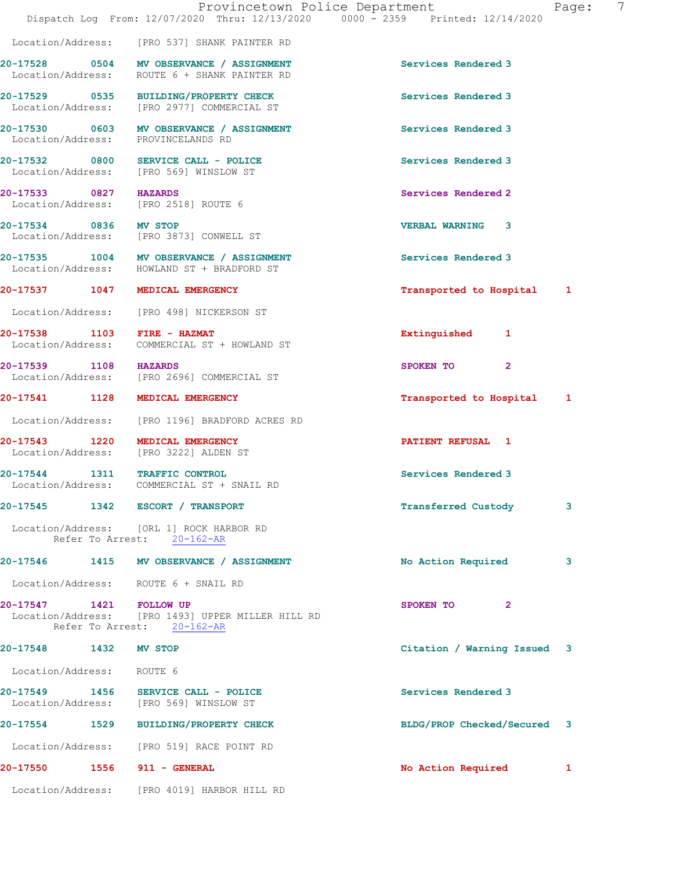|                               | Provincetown Police Department<br>Dispatch Log From: 12/07/2020 Thru: 12/13/2020 0000 - 2359 Printed: 12/14/2020 |                             | 7<br>Page: |
|-------------------------------|------------------------------------------------------------------------------------------------------------------|-----------------------------|------------|
|                               | Location/Address: [PRO 537] SHANK PAINTER RD                                                                     |                             |            |
|                               | 20-17528 0504 MV OBSERVANCE / ASSIGNMENT<br>Location/Address: ROUTE 6 + SHANK PAINTER RD                         | Services Rendered 3         |            |
|                               | 20-17529 0535 BUILDING/PROPERTY CHECK<br>Location/Address: [PRO 2977] COMMERCIAL ST                              | Services Rendered 3         |            |
|                               | 20-17530 0603 MV OBSERVANCE / ASSIGNMENT<br>Location/Address: PROVINCELANDS RD                                   | Services Rendered 3         |            |
|                               | 20-17532 0800 SERVICE CALL - POLICE<br>Location/Address: [PRO 569] WINSLOW ST                                    | Services Rendered 3         |            |
|                               | 20-17533 0827 HAZARDS<br>Location/Address: [PRO 2518] ROUTE 6                                                    | Services Rendered 2         |            |
|                               | 20-17534 0836 MV STOP<br>Location/Address: [PRO 3873] CONWELL ST                                                 | <b>VERBAL WARNING 3</b>     |            |
|                               | 20-17535 1004 MV OBSERVANCE / ASSIGNMENT<br>Location/Address: HOWLAND ST + BRADFORD ST                           | Services Rendered 3         |            |
|                               | 20-17537 1047 MEDICAL EMERGENCY                                                                                  | Transported to Hospital 1   |            |
|                               | Location/Address: [PRO 498] NICKERSON ST                                                                         |                             |            |
| 20-17538 1103 FIRE - HAZMAT   | Location/Address: COMMERCIAL ST + HOWLAND ST                                                                     | Extinguished 1              |            |
| 20-17539 1108 HAZARDS         | Location/Address: [PRO 2696] COMMERCIAL ST                                                                       | $\overline{2}$<br>SPOKEN TO |            |
|                               | 20-17541 1128 MEDICAL EMERGENCY                                                                                  | Transported to Hospital 1   |            |
|                               | Location/Address: [PRO 1196] BRADFORD ACRES RD                                                                   |                             |            |
|                               | 20-17543 1220 MEDICAL EMERGENCY<br>Location/Address: [PRO 3222] ALDEN ST                                         | PATIENT REFUSAL 1           |            |
| 20-17544 1311 TRAFFIC CONTROL | Location/Address: COMMERCIAL ST + SNAIL RD                                                                       | Services Rendered 3         |            |
|                               | 20-17545 1342 ESCORT / TRANSPORT                                                                                 | <b>Transferred Custody</b>  | 3          |
|                               | Location/Address: [ORL 1] ROCK HARBOR RD<br>Refer To Arrest: 20-162-AR                                           |                             |            |
|                               | 20-17546 1415 MV OBSERVANCE / ASSIGNMENT                                                                         | No Action Required          | 3          |
|                               | Location/Address: ROUTE 6 + SNAIL RD                                                                             |                             |            |
| 20-17547 1421 FOLLOW UP       | Location/Address: [PRO 1493] UPPER MILLER HILL RD<br>Refer To Arrest: 20-162-AR                                  | SPOKEN TO<br>$\mathbf{2}$   |            |
| 20-17548 1432 MV STOP         |                                                                                                                  | Citation / Warning Issued 3 |            |
| Location/Address: ROUTE 6     |                                                                                                                  |                             |            |
|                               | 20-17549 1456 SERVICE CALL - POLICE<br>Location/Address: [PRO 569] WINSLOW ST                                    | Services Rendered 3         |            |
|                               | 20-17554 1529 BUILDING/PROPERTY CHECK                                                                            | BLDG/PROP Checked/Secured 3 |            |
|                               | Location/Address: [PRO 519] RACE POINT RD                                                                        |                             |            |
| 20-17550 1556 911 - GENERAL   |                                                                                                                  | No Action Required          | 1          |
|                               | Location/Address: [PRO 4019] HARBOR HILL RD                                                                      |                             |            |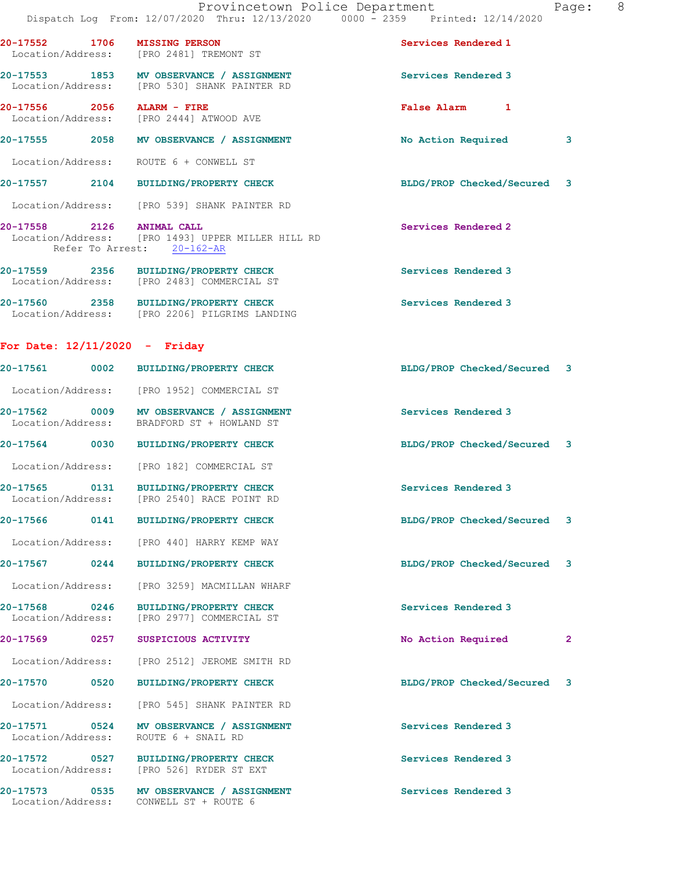|                                 |                                                                                          | Provincetown Police Department<br>Dispatch Log From: 12/07/2020 Thru: 12/13/2020 0000 - 2359 Printed: 12/14/2020 | Page:                   | 8 |
|---------------------------------|------------------------------------------------------------------------------------------|------------------------------------------------------------------------------------------------------------------|-------------------------|---|
|                                 | 20-17552 1706 MISSING PERSON<br>Location/Address: [PRO 2481] TREMONT ST                  | Services Rendered 1                                                                                              |                         |   |
|                                 | 20-17553 1853 MV OBSERVANCE / ASSIGNMENT<br>Location/Address: [PRO 530] SHANK PAINTER RD | Services Rendered 3                                                                                              |                         |   |
| 20-17556 2056 ALARM - FIRE      | Location/Address: [PRO 2444] ATWOOD AVE                                                  | False Alarm 1                                                                                                    |                         |   |
|                                 | 20-17555 2058 MV OBSERVANCE / ASSIGNMENT                                                 | No Action Required                                                                                               | 3                       |   |
|                                 | Location/Address: ROUTE 6 + CONWELL ST                                                   |                                                                                                                  |                         |   |
|                                 | 20-17557 2104 BUILDING/PROPERTY CHECK                                                    | BLDG/PROP Checked/Secured 3                                                                                      |                         |   |
|                                 | Location/Address: [PRO 539] SHANK PAINTER RD                                             |                                                                                                                  |                         |   |
| 20-17558 2126 ANIMAL CALL       | Location/Address: [PRO 1493] UPPER MILLER HILL RD<br>Refer To Arrest: 20-162-AR          | Services Rendered 2                                                                                              |                         |   |
|                                 | 20-17559 2356 BUILDING/PROPERTY CHECK<br>Location/Address: [PRO 2483] COMMERCIAL ST      | Services Rendered 3                                                                                              |                         |   |
|                                 | 20-17560 2358 BUILDING/PROPERTY CHECK<br>Location/Address: [PRO 2206] PILGRIMS LANDING   | Services Rendered 3                                                                                              |                         |   |
| For Date: $12/11/2020 -$ Friday |                                                                                          |                                                                                                                  |                         |   |
|                                 | 20-17561 0002 BUILDING/PROPERTY CHECK                                                    | BLDG/PROP Checked/Secured 3                                                                                      |                         |   |
|                                 | Location/Address: [PRO 1952] COMMERCIAL ST                                               |                                                                                                                  |                         |   |
|                                 | 20-17562 0009 MV OBSERVANCE / ASSIGNMENT<br>Location/Address: BRADFORD ST + HOWLAND ST   | Services Rendered 3                                                                                              |                         |   |
| 0030<br>20-17564                | <b>BUILDING/PROPERTY CHECK</b>                                                           | BLDG/PROP Checked/Secured                                                                                        | $\overline{\mathbf{3}}$ |   |

Location/Address: [PRO 182] COMMERCIAL ST

20-17565 0131 BUILDING/PROPERTY CHECK Services Rendered 3<br>
Location/Address: [PRO 2540] RACE POINT RD [PRO 2540] RACE POINT RD

**20-17566 0141 BUILDING/PROPERTY CHECK BLDG/PROP Checked/Secured 3**

Location/Address: [PRO 440] HARRY KEMP WAY

Location/Address: [PRO 3259] MACMILLAN WHARF

20-17568 0246 BUILDING/PROPERTY CHECK Services Rendered 3<br>
Location/Address: [PRO 2977] COMMERCIAL ST [PRO 2977] COMMERCIAL ST

Location/Address: [PRO 2512] JEROME SMITH RD

Location/Address: [PRO 545] SHANK PAINTER RD

20-17571 0524 MV OBSERVANCE / ASSIGNMENT **Services Rendered 3** Location/Address: ROUTE 6 + SNAIL RD

**20-17572 0527 BUILDING/PROPERTY CHECK Services Rendered 3**  Location/Address: [PRO 526] RYDER ST EXT

20-17573 0535 MV OBSERVANCE / ASSIGNMENT **Services Rendered 3** Location/Address: CONWELL ST + ROUTE 6

**20-17567 0244 BUILDING/PROPERTY CHECK BLDG/PROP Checked/Secured 3**

**20-17569 0257 SUSPICIOUS ACTIVITY No Action Required 2**

**20-17570 0520 BUILDING/PROPERTY CHECK BLDG/PROP Checked/Secured 3**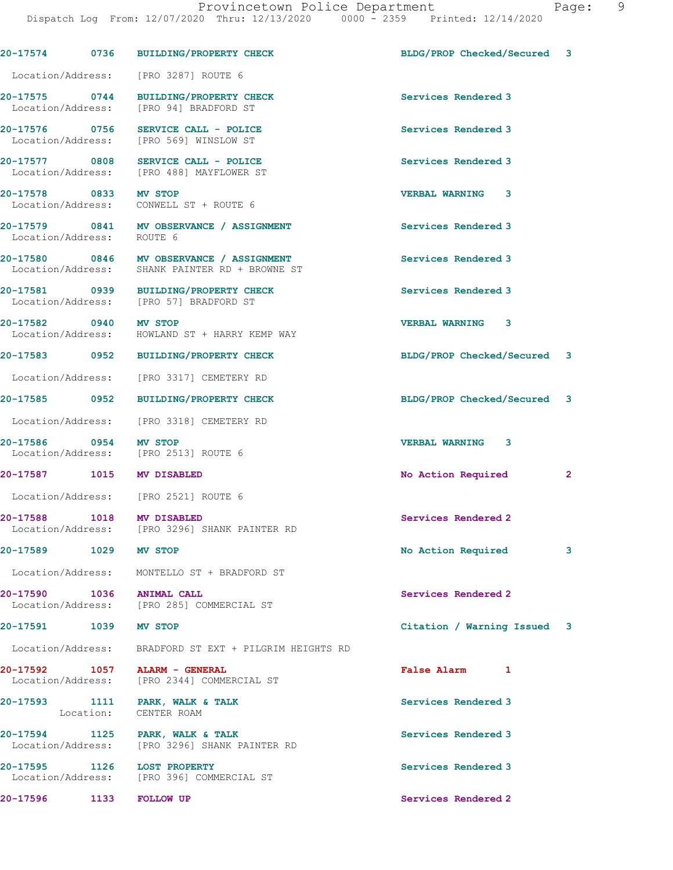**20-17574 0736 BUILDING/PROPERTY CHECK BLDG/PROP Checked/Secured 3**

 Location/Address: [PRO 3287] ROUTE 6 **20-17575 0744 BUILDING/PROPERTY CHECK Services Rendered 3**  Location/Address: [PRO 94] BRADFORD ST **20-17576 0756 SERVICE CALL - POLICE Services Rendered 3**  Location/Address: [PRO 569] WINSLOW ST **20-17577 0808 SERVICE CALL - POLICE Services Rendered 3 Seculor** Seculor Services Rendered 3 **Services** Rendered 3 [PRO 488] MAYFLOWER ST **20-17578 0833 MV STOP VERBAL WARNING 3**  Location/Address: CONWELL ST + ROUTE 6 **20-17579 0841 MV OBSERVANCE / ASSIGNMENT Services Rendered 3**  Location/Address: ROUTE 6 **20-17580 0846 MV OBSERVANCE / ASSIGNMENT Services Rendered 3**  Location/Address: SHANK PAINTER RD + BROWNE ST **20-17581 0939 BUILDING/PROPERTY CHECK Services Rendered 3**  Location/Address: [PRO 57] BRADFORD ST **20-17582 0940 MV STOP VERBAL WARNING 3**  Location/Address: HOWLAND ST + HARRY KEMP WAY **20-17583 0952 BUILDING/PROPERTY CHECK BLDG/PROP Checked/Secured 3** Location/Address: [PRO 3317] CEMETERY RD **20-17585 0952 BUILDING/PROPERTY CHECK BLDG/PROP Checked/Secured 3** Location/Address: [PRO 3318] CEMETERY RD **20-17586 0954 MV STOP VERBAL WARNING 3**  Location/Address: **20-17587 1015 MV DISABLED No Action Required 2** Location/Address: [PRO 2521] ROUTE 6 **20-17588 1018 MV DISABLED Services Rendered 2**  Location/Address: [PRO 3296] SHANK PAINTER RD **20-17589 1029 MV STOP No Action Required 3** Location/Address: MONTELLO ST + BRADFORD ST **20-17590 1036 ANIMAL CALL Services Rendered 2**  Location/Address: [PRO 285] COMMERCIAL ST **20-17591 1039 MV STOP Citation / Warning Issued 3** Location/Address: BRADFORD ST EXT + PILGRIM HEIGHTS RD **20-17592 1057 ALARM - GENERAL False Alarm 1**  Location/Address: [PRO 2344] COMMERCIAL ST 20-17593 1111 PARK, WALK & TALK **Services Rendered 3**  Location: CENTER ROAM **20-17594 1125 PARK, WALK & TALK Services Rendered 3**  Location/Address: [PRO 3296] SHANK PAINTER RD **20-17595 1126 LOST PROPERTY Services Rendered 3**  Location/Address: [PRO 396] COMMERCIAL ST **20-17596 1133 FOLLOW UP Services Rendered 2**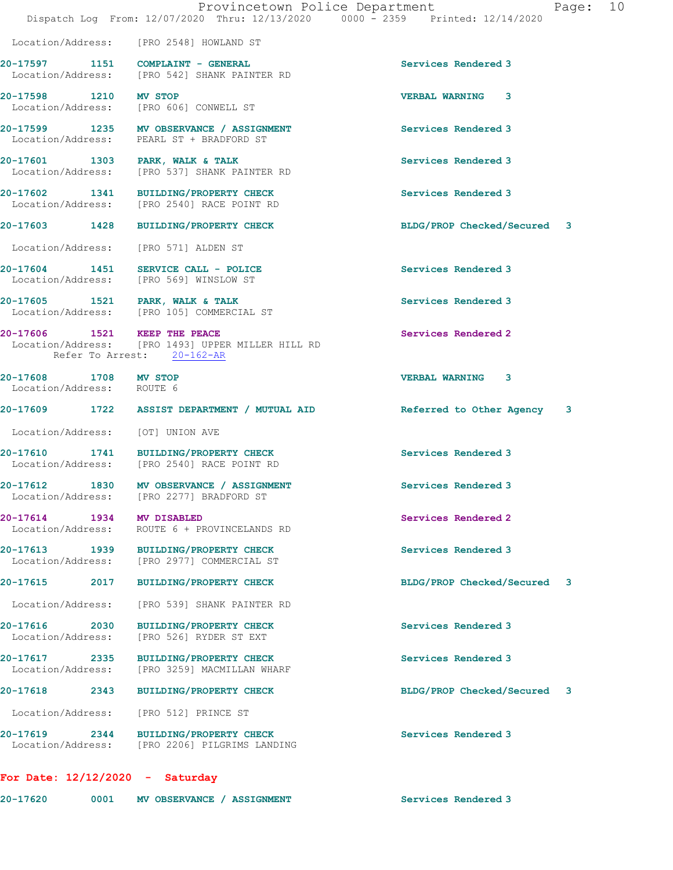|                                                    |      | Provincetown Police Department<br>Dispatch Log From: 12/07/2020 Thru: 12/13/2020 0000 - 2359 Printed: 12/14/2020 |                             | Page: 10 |  |
|----------------------------------------------------|------|------------------------------------------------------------------------------------------------------------------|-----------------------------|----------|--|
|                                                    |      | Location/Address: [PRO 2548] HOWLAND ST                                                                          |                             |          |  |
|                                                    |      | 20-17597 1151 COMPLAINT - GENERAL<br>Location/Address: [PRO 542] SHANK PAINTER RD                                | Services Rendered 3         |          |  |
| 20-17598 1210 MV STOP                              |      | Location/Address: [PRO 606] CONWELL ST                                                                           | VERBAL WARNING 3            |          |  |
|                                                    |      | 20-17599 1235 MV OBSERVANCE / ASSIGNMENT<br>Location/Address: PEARL ST + BRADFORD ST                             | Services Rendered 3         |          |  |
|                                                    |      | 20-17601 1303 PARK, WALK & TALK<br>Location/Address: [PRO 537] SHANK PAINTER RD                                  | Services Rendered 3         |          |  |
|                                                    |      | 20-17602 1341 BUILDING/PROPERTY CHECK<br>Location/Address: [PRO 2540] RACE POINT RD                              | Services Rendered 3         |          |  |
|                                                    |      | 20-17603 1428 BUILDING/PROPERTY CHECK                                                                            | BLDG/PROP Checked/Secured 3 |          |  |
|                                                    |      | Location/Address: [PRO 571] ALDEN ST                                                                             |                             |          |  |
|                                                    |      | 20-17604 1451 SERVICE CALL - POLICE<br>Location/Address: [PRO 569] WINSLOW ST                                    | Services Rendered 3         |          |  |
|                                                    |      | 20-17605 1521 PARK, WALK & TALK<br>Location/Address: [PRO 105] COMMERCIAL ST                                     | Services Rendered 3         |          |  |
| 20-17606 1521 KEEP THE PEACE                       |      | Location/Address: [PRO 1493] UPPER MILLER HILL RD<br>Refer To Arrest: 20-162-AR                                  | Services Rendered 2         |          |  |
| 20-17608 1708 MV STOP<br>Location/Address: ROUTE 6 |      |                                                                                                                  | <b>VERBAL WARNING 3</b>     |          |  |
|                                                    |      | 20-17609 1722 ASSIST DEPARTMENT / MUTUAL AID                                                                     | Referred to Other Agency    | 3        |  |
| Location/Address: [OT] UNION AVE                   |      |                                                                                                                  |                             |          |  |
|                                                    |      | 20-17610 1741 BUILDING/PROPERTY CHECK<br>Location/Address: [PRO 2540] RACE POINT RD                              | Services Rendered 3         |          |  |
| Location/Address:                                  |      | 20-17612 1830 MV OBSERVANCE / ASSIGNMENT<br>[PRO 2277] BRADFORD ST                                               | Services Rendered 3         |          |  |
| 20-17614 1934<br>Location/Address:                 |      | MV DISABLED<br>ROUTE 6 + PROVINCELANDS RD                                                                        | Services Rendered 2         |          |  |
| 20-17613 1939<br>Location/Address:                 |      | <b>BUILDING/PROPERTY CHECK</b><br>[PRO 2977] COMMERCIAL ST                                                       | Services Rendered 3         |          |  |
| 20-17615                                           | 2017 | <b>BUILDING/PROPERTY CHECK</b>                                                                                   | BLDG/PROP Checked/Secured 3 |          |  |
| Location/Address:                                  |      | [PRO 539] SHANK PAINTER RD                                                                                       |                             |          |  |
| 20-17616 2030<br>Location/Address:                 |      | <b>BUILDING/PROPERTY CHECK</b><br>[PRO 526] RYDER ST EXT                                                         | Services Rendered 3         |          |  |
| 20-17617 2335<br>Location/Address:                 |      | <b>BUILDING/PROPERTY CHECK</b><br>[PRO 3259] MACMILLAN WHARF                                                     | Services Rendered 3         |          |  |
| 20-17618                                           | 2343 | <b>BUILDING/PROPERTY CHECK</b>                                                                                   | BLDG/PROP Checked/Secured 3 |          |  |
| Location/Address:                                  |      | [PRO 512] PRINCE ST                                                                                              |                             |          |  |
| 20-17619<br>Location/Address:                      | 2344 | <b>BUILDING/PROPERTY CHECK</b><br>[PRO 2206] PILGRIMS LANDING                                                    | Services Rendered 3         |          |  |
|                                                    |      |                                                                                                                  |                             |          |  |

**For Date: 12/12/2020 - Saturday**

| 20-17620<br>0001<br>MV OBSERVANCE / ASSIGNMENT |  | Services Rendered 3 |
|------------------------------------------------|--|---------------------|
|------------------------------------------------|--|---------------------|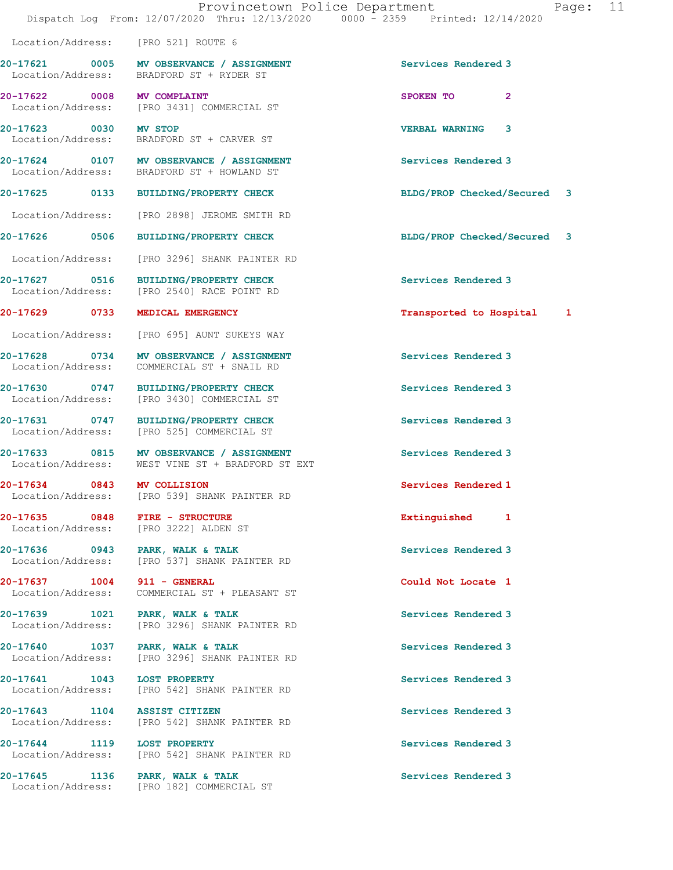Location/Address: [PRO 521] ROUTE 6

**20-17621 0005 MV OBSERVANCE / ASSIGNMENT Services Rendered 3**  Location/Address: BRADFORD ST + RYDER ST

**20-17635 0848 FIRE - STRUCTURE Extinguished 1** 

**20-17622 0008 MV COMPLAINT SPOKEN TO 2**  Location/Address: [PRO 3431] COMMERCIAL ST **20-17623 0030 MV STOP VERBAL WARNING 3**  Location/Address: BRADFORD ST + CARVER ST

**20-17624 0107 MV OBSERVANCE / ASSIGNMENT Services Rendered 3**  Location/Address: BRADFORD ST + HOWLAND ST

Location/Address: [PRO 2898] JEROME SMITH RD

Location/Address: [PRO 3296] SHANK PAINTER RD

**20-17627 0516 BUILDING/PROPERTY CHECK Services Rendered 3**  [PRO 2540] RACE POINT RD

Location/Address: [PRO 695] AUNT SUKEYS WAY

**20-17628 0734 MV OBSERVANCE / ASSIGNMENT Services Rendered 3**  Location/Address: COMMERCIAL ST + SNAIL RD

**20-17630 0747 BUILDING/PROPERTY CHECK Services Rendered 3**  Location/Address: [PRO 3430] COMMERCIAL ST

**20-17631 0747 BUILDING/PROPERTY CHECK Services Rendered 3**  Location/Address: [PRO 525] COMMERCIAL ST

**20-17633 0815 MV OBSERVANCE / ASSIGNMENT Services Rendered 3**<br>
Location/Address: WEST VINE ST + BRADFORD ST EXT WEST VINE ST + BRADFORD ST EXT

**20-17634 0843 MV COLLISION Services Rendered 1**  Location/Address: [PRO 539] SHANK PAINTER RD

Location/Address: [PRO 3222] ALDEN ST

**20-17636** 0943 PARK, WALK & TALK COMERCIES And Services Rendered 3<br>
Location/Address: [PRO 537] SHANK PAINTER RD [PRO 537] SHANK PAINTER RD

**20-17637 1004 911 - GENERAL Could Not Locate 1**  Location/Address: COMMERCIAL ST + PLEASANT ST

20-17639 1021 PARK, WALK & TALK **Services Rendered 3** Location/Address: [PRO 3296] SHANK PAINTER RD

**20-17640 1037 PARK, WALK & TALK Services Rendered 3**  Location/Address: [PRO 3296] SHANK PAINTER RD

**20-17641 1043 LOST PROPERTY Services Rendered 3**  Location/Address: [PRO 542] SHANK PAINTER RD

**20-17643** 1104 ASSIST CITIZEN **Services Rendered 3**<br>
Location/Address: [PRO 542] SHANK PAINTER RD Location/Address: [PRO 542] SHANK PAINTER RD

**20-17644 1119 LOST PROPERTY Services Rendered 3**  Location/Address: [PRO 542] SHANK PAINTER RD

20-17645 1136 PARK, WALK & TALK **Services Rendered 3** Location/Address: [PRO 182] COMMERCIAL ST

**20-17625 0133 BUILDING/PROPERTY CHECK BLDG/PROP Checked/Secured 3**

**20-17626 0506 BUILDING/PROPERTY CHECK BLDG/PROP Checked/Secured 3**

**20-17629 0733 MEDICAL EMERGENCY Transported to Hospital 1**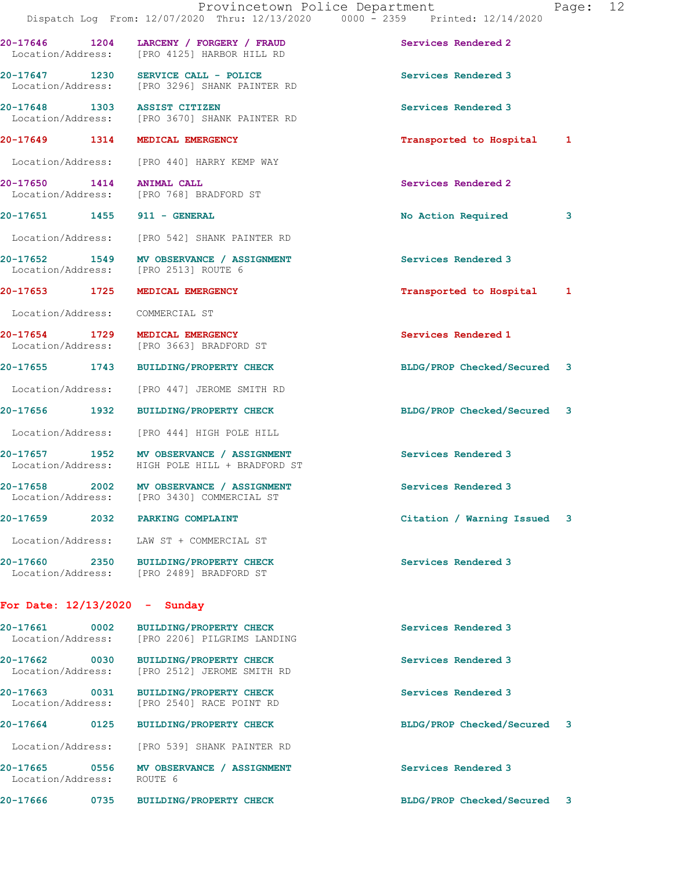|                                                      | Dispatch Log From: 12/07/2020 Thru: 12/13/2020 0000 - 2359 Printed: 12/14/2020         | Provincetown Police Department | Page: 12 |  |
|------------------------------------------------------|----------------------------------------------------------------------------------------|--------------------------------|----------|--|
|                                                      | 20-17646 1204 LARCENY / FORGERY / FRAUD<br>Location/Address: [PRO 4125] HARBOR HILL RD | Services Rendered 2            |          |  |
|                                                      | 20-17647 1230 SERVICE CALL - POLICE<br>Location/Address: [PRO 3296] SHANK PAINTER RD   | Services Rendered 3            |          |  |
|                                                      | 20-17648 1303 ASSIST CITIZEN<br>Location/Address: [PRO 3670] SHANK PAINTER RD          | Services Rendered 3            |          |  |
| 20-17649 1314 MEDICAL EMERGENCY                      |                                                                                        | Transported to Hospital 1      |          |  |
|                                                      | Location/Address: [PRO 440] HARRY KEMP WAY                                             |                                |          |  |
| 20-17650 1414 ANIMAL CALL                            | Location/Address: [PRO 768] BRADFORD ST                                                | Services Rendered 2            |          |  |
| 20-17651 1455 911 - GENERAL                          |                                                                                        | No Action Required             | 3        |  |
|                                                      | Location/Address: [PRO 542] SHANK PAINTER RD                                           |                                |          |  |
| Location/Address: [PRO 2513] ROUTE 6                 | 20-17652 1549 MV OBSERVANCE / ASSIGNMENT                                               | Services Rendered 3            |          |  |
| 20-17653 1725                                        | <b>MEDICAL EMERGENCY</b>                                                               | Transported to Hospital 1      |          |  |
| Location/Address: COMMERCIAL ST                      |                                                                                        |                                |          |  |
| 20-17654 1729 MEDICAL EMERGENCY<br>Location/Address: | [PRO 3663] BRADFORD ST                                                                 | Services Rendered 1            |          |  |
|                                                      | 20-17655 1743 BUILDING/PROPERTY CHECK                                                  | BLDG/PROP Checked/Secured 3    |          |  |
|                                                      | Location/Address: [PRO 447] JEROME SMITH RD                                            |                                |          |  |
| 20-17656 1932                                        | BUILDING/PROPERTY CHECK                                                                | BLDG/PROP Checked/Secured 3    |          |  |
|                                                      | Location/Address: [PRO 444] HIGH POLE HILL                                             |                                |          |  |
| Location/Address:                                    | 20-17657 1952 MV OBSERVANCE / ASSIGNMENT<br>HIGH POLE HILL + BRADFORD ST               | Services Rendered 3            |          |  |
| Location/Address:                                    | 20-17658 2002 MV OBSERVANCE / ASSIGNMENT<br>[PRO 3430] COMMERCIAL ST                   | Services Rendered 3            |          |  |
| 20-17659 2014                                        | 2032 PARKING COMPLAINT                                                                 | Citation / Warning Issued      | 3        |  |
|                                                      | Location/Address: LAW ST + COMMERCIAL ST                                               |                                |          |  |
|                                                      | 20-17660 2350 BUILDING/PROPERTY CHECK<br>Location/Address: [PRO 2489] BRADFORD ST      | Services Rendered 3            |          |  |
| For Date: $12/13/2020 -$ Sunday                      |                                                                                        |                                |          |  |
| 20-17661                                             | 0002 BUILDING/PROPERTY CHECK<br>Location/Address: [PRO 2206] PILGRIMS LANDING          | Services Rendered 3            |          |  |
| 20-17662<br>$\sim$ 0030 $\sim$                       | <b>BUILDING/PROPERTY CHECK</b><br>Location/Address: [PRO 2512] JEROME SMITH RD         | Services Rendered 3            |          |  |

**20-17663 0031 BUILDING/PROPERTY CHECK Services Rendered 3**  Location/Address: [PRO 2540] RACE POINT RD

**20-17664 0125 BUILDING/PROPERTY CHECK BLDG/PROP Checked/Secured 3**

Location/Address: [PRO 539] SHANK PAINTER RD

20-17665 **0556** MV OBSERVANCE / ASSIGNMENT **Services Rendered 3** Location/Address: ROUTE 6

**20-17666 0735 BUILDING/PROPERTY CHECK BLDG/PROP Checked/Secured 3**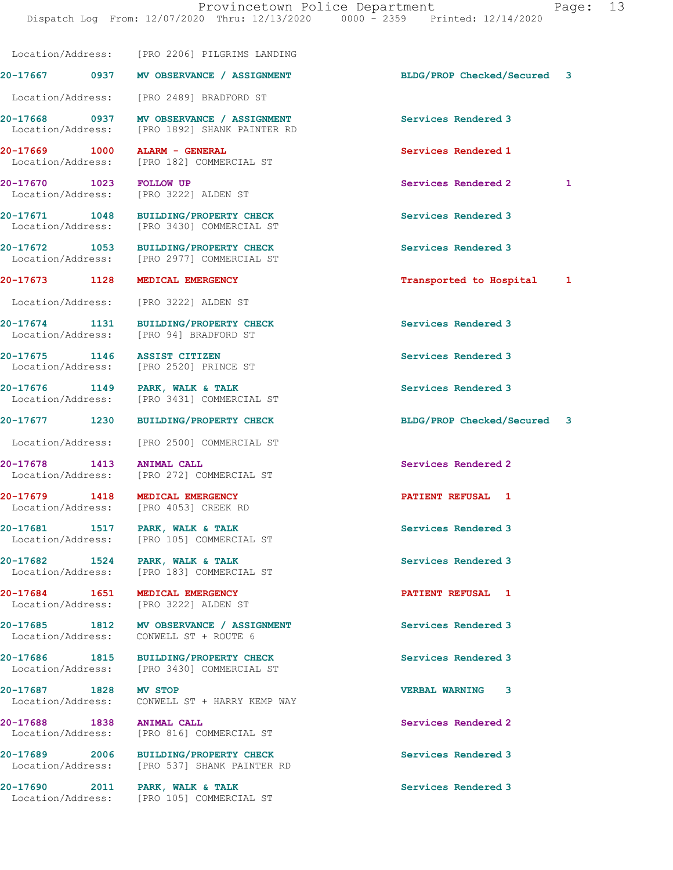Location/Address: [PRO 2206] PILGRIMS LANDING **20-17667 0937 MV OBSERVANCE / ASSIGNMENT BLDG/PROP Checked/Secured 3** Location/Address: [PRO 2489] BRADFORD ST **20-17668 0937 MV OBSERVANCE / ASSIGNMENT Services Rendered 3**  Location/Address: [PRO 1892] SHANK PAINTER RD **20-17669 1000 ALARM - GENERAL Services Rendered 1**  Location/Address: [PRO 182] COMMERCIAL ST **20-17670 1023 FOLLOW UP Services Rendered 2 1**  Location/Address: [PRO 3222] ALDEN ST **20-17671 1048 BUILDING/PROPERTY CHECK Services Rendered 3**  Location/Address: [PRO 3430] COMMERCIAL ST **20-17672 1053 BUILDING/PROPERTY CHECK Services Rendered 3**  Location/Address: [PRO 2977] COMMERCIAL ST **20-17673 1128 MEDICAL EMERGENCY Transported to Hospital 1** Location/Address: [PRO 3222] ALDEN ST **20-17674 1131 BUILDING/PROPERTY CHECK Services Rendered 3**  Location/Address: [PRO 94] BRADFORD ST **20-17675 1146 ASSIST CITIZEN Services Rendered 3**  Location/Address: [PRO 2520] PRINCE ST **20-17676** 1149 PARK, WALK & TALK **PARK, Services Rendered 3 Interval Services Rendered 3 Interval Services Rendered 3** [PRO 3431] COMMERCIAL ST **20-17677 1230 BUILDING/PROPERTY CHECK BLDG/PROP Checked/Secured 3** Location/Address: [PRO 2500] COMMERCIAL ST **20-17678** 1413 ANIMAL CALL **1996** 1413 ANIMAL CALL Location/Address: [PRO 272] COMMERCIAL ST **20-17679 1418 MEDICAL EMERGENCY PATIENT REFUSAL 1**  Location/Address: [PRO 4053] CREEK RD 20-17681 1517 PARK, WALK & TALK **Services Rendered 3**  Location/Address: [PRO 105] COMMERCIAL ST 20-17682 1524 PARK, WALK & TALK **Services Rendered 3** Location/Address: [PRO 183] COMMERCIAL ST

Location/Address: [PRO 3222] ALDEN ST

20-17685 1812 MV OBSERVANCE / ASSIGNMENT **Services Rendered 3** 

Location/Address: [PRO 3430] COMMERCIAL ST

**20-17687 1828 MV STOP VERBAL WARNING 3**  Location/Address: CONWELL ST + HARRY KEMP WAY

Location/Address: [PRO 816] COMMERCIAL ST

20-17689 2006 BUILDING/PROPERTY CHECK **BUILDING ASSESS SERVICES Rendered 3 ICCOLL** Location/Address: [PRO 537] SHANK PAINTER RD [PRO 537] SHANK PAINTER RD

**20-17690 2011 PARK, WALK & TALK Services Rendered 3**  Location/Address: [PRO 105] COMMERCIAL ST

**20-17684 1651 MEDICAL EMERGENCY PATIENT REFUSAL 1** 

Location/Address: CONWELL ST + ROUTE 6

**20-17686 1815 BUILDING/PROPERTY CHECK Services Rendered 3** 

**20-17688 1838 ANIMAL CALL Services Rendered 2**